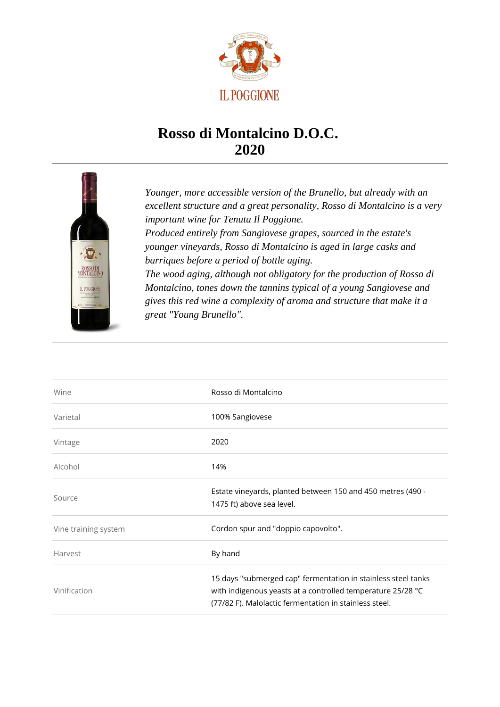

## **Rosso di Montalcino D.O.C. 2020**



*Younger, more accessible version of the Brunello, but already with an excellent structure and a great personality, Rosso di Montalcino is a very important wine for Tenuta Il Poggione. Produced entirely from Sangiovese grapes, sourced in the estate's younger vineyards, Rosso di Montalcino is aged in large casks and barriques before a period of bottle aging. The wood aging, although not obligatory for the production of Rosso di Montalcino, tones down the tannins typical of a young Sangiovese and gives this red wine a complexity of aroma and structure that make it a great "Young Brunello".*

| Wine                 | Rosso di Montalcino                                                                                                                                                                    |
|----------------------|----------------------------------------------------------------------------------------------------------------------------------------------------------------------------------------|
| Varietal             | 100% Sangiovese                                                                                                                                                                        |
| Vintage              | 2020                                                                                                                                                                                   |
| Alcohol              | 14%                                                                                                                                                                                    |
| Source               | Estate vineyards, planted between 150 and 450 metres (490 -<br>1475 ft) above sea level.                                                                                               |
| Vine training system | Cordon spur and "doppio capovolto".                                                                                                                                                    |
| Harvest              | By hand                                                                                                                                                                                |
| Vinification         | 15 days "submerged cap" fermentation in stainless steel tanks<br>with indigenous yeasts at a controlled temperature 25/28 °C<br>(77/82 F). Malolactic fermentation in stainless steel. |